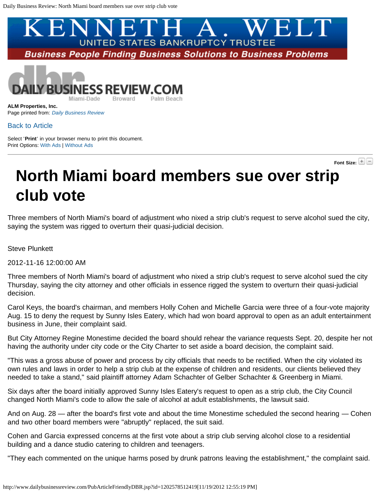<span id="page-0-0"></span>



**ALM Properties, Inc.** Page printed from: *[Daily Business Review](http://www.dailybusinessreview.com/index.jsp)*

## [Back to Article](http://www.dailybusinessreview.com/PubArticleDBR.jsp?id=1202578512419)

Select '**Print**' in your browser menu to print this document. Print Options: [With Ads](#page-0-0) | [Without Ads](#page-0-0)

**Font Size:**

## **North Miami board members sue over strip club vote**

Three members of North Miami's board of adjustment who nixed a strip club's request to serve alcohol sued the city, saying the system was rigged to overturn their quasi-judicial decision.

Steve Plunkett

2012-11-16 12:00:00 AM

Three members of North Miami's board of adjustment who nixed a strip club's request to serve alcohol sued the city Thursday, saying the city attorney and other officials in essence rigged the system to overturn their quasi-judicial decision.

Carol Keys, the board's chairman, and members Holly Cohen and Michelle Garcia were three of a four-vote majority Aug. 15 to deny the request by Sunny Isles Eatery, which had won board approval to open as an adult entertainment business in June, their complaint said.

But City Attorney Regine Monestime decided the board should rehear the variance requests Sept. 20, despite her not having the authority under city code or the City Charter to set aside a board decision, the complaint said.

"This was a gross abuse of power and process by city officials that needs to be rectified. When the city violated its own rules and laws in order to help a strip club at the expense of children and residents, our clients believed they needed to take a stand," said plaintiff attorney Adam Schachter of Gelber Schachter & Greenberg in Miami.

Six days after the board initially approved Sunny Isles Eatery's request to open as a strip club, the City Council changed North Miami's code to allow the sale of alcohol at adult establishments, the lawsuit said.

And on Aug. 28 — after the board's first vote and about the time Monestime scheduled the second hearing — Cohen and two other board members were "abruptly" replaced, the suit said.

Cohen and Garcia expressed concerns at the first vote about a strip club serving alcohol close to a residential building and a dance studio catering to children and teenagers.

"They each commented on the unique harms posed by drunk patrons leaving the establishment," the complaint said.